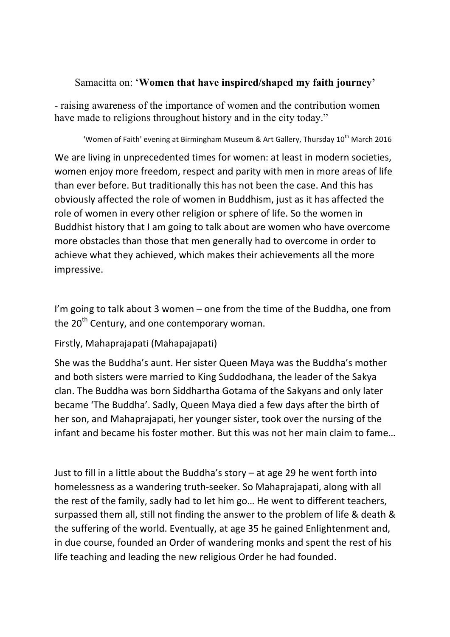## Samacitta on: '**Women that have inspired/shaped my faith journey'**

- raising awareness of the importance of women and the contribution women have made to religions throughout history and in the city today."

'Women of Faith' evening at Birmingham Museum & Art Gallery, Thursday 10<sup>th</sup> March 2016

We are living in unprecedented times for women: at least in modern societies, women enjoy more freedom, respect and parity with men in more areas of life than ever before. But traditionally this has not been the case. And this has obviously affected the role of women in Buddhism, just as it has affected the role of women in every other religion or sphere of life. So the women in Buddhist history that I am going to talk about are women who have overcome more obstacles than those that men generally had to overcome in order to achieve what they achieved, which makes their achievements all the more impressive.

I'm going to talk about 3 women  $-$  one from the time of the Buddha, one from the  $20^{th}$  Century, and one contemporary woman.

Firstly, Mahaprajapati (Mahapajapati)

She was the Buddha's aunt. Her sister Queen Maya was the Buddha's mother and both sisters were married to King Suddodhana, the leader of the Sakya clan. The Buddha was born Siddhartha Gotama of the Sakyans and only later became 'The Buddha'. Sadly, Queen Maya died a few days after the birth of her son, and Mahaprajapati, her younger sister, took over the nursing of the infant and became his foster mother. But this was not her main claim to fame...

Just to fill in a little about the Buddha's story  $-$  at age 29 he went forth into homelessness as a wandering truth-seeker. So Mahaprajapati, along with all the rest of the family, sadly had to let him go... He went to different teachers, surpassed them all, still not finding the answer to the problem of life & death & the suffering of the world. Eventually, at age 35 he gained Enlightenment and, in due course, founded an Order of wandering monks and spent the rest of his life teaching and leading the new religious Order he had founded.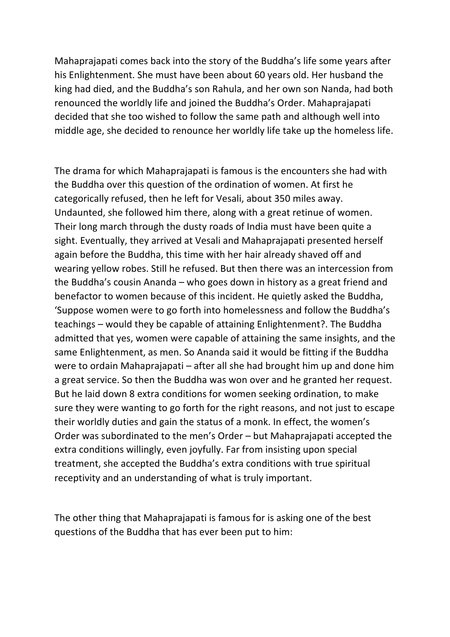Mahaprajapati comes back into the story of the Buddha's life some years after his Enlightenment. She must have been about 60 years old. Her husband the king had died, and the Buddha's son Rahula, and her own son Nanda, had both renounced the worldly life and joined the Buddha's Order. Mahaprajapati decided that she too wished to follow the same path and although well into middle age, she decided to renounce her worldly life take up the homeless life.

The drama for which Mahaprajapati is famous is the encounters she had with the Buddha over this question of the ordination of women. At first he categorically refused, then he left for Vesali, about 350 miles away. Undaunted, she followed him there, along with a great retinue of women. Their long march through the dusty roads of India must have been quite a sight. Eventually, they arrived at Vesali and Mahaprajapati presented herself again before the Buddha, this time with her hair already shaved off and wearing yellow robes. Still he refused. But then there was an intercession from the Buddha's cousin Ananda – who goes down in history as a great friend and benefactor to women because of this incident. He quietly asked the Buddha, 'Suppose women were to go forth into homelessness and follow the Buddha's teachings – would they be capable of attaining Enlightenment?. The Buddha admitted that yes, women were capable of attaining the same insights, and the same Enlightenment, as men. So Ananda said it would be fitting if the Buddha were to ordain Mahaprajapati – after all she had brought him up and done him a great service. So then the Buddha was won over and he granted her request. But he laid down 8 extra conditions for women seeking ordination, to make sure they were wanting to go forth for the right reasons, and not just to escape their worldly duties and gain the status of a monk. In effect, the women's Order was subordinated to the men's Order  $-$  but Mahaprajapati accepted the extra conditions willingly, even joyfully. Far from insisting upon special treatment, she accepted the Buddha's extra conditions with true spiritual receptivity and an understanding of what is truly important.

The other thing that Mahaprajapati is famous for is asking one of the best questions of the Buddha that has ever been put to him: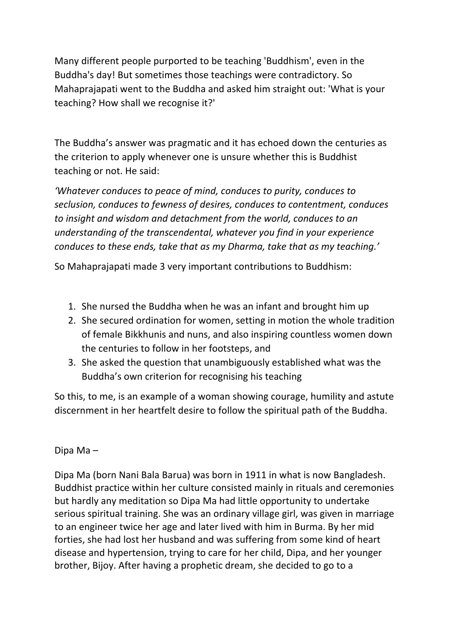Many different people purported to be teaching 'Buddhism', even in the Buddha's day! But sometimes those teachings were contradictory. So Mahaprajapati went to the Buddha and asked him straight out: 'What is your teaching? How shall we recognise it?'

The Buddha's answer was pragmatic and it has echoed down the centuries as the criterion to apply whenever one is unsure whether this is Buddhist teaching or not. He said:

*'Whatever conduces to peace of mind, conduces to purity, conduces to* seclusion, conduces to fewness of desires, conduces to contentment, conduces *to* insight and wisdom and detachment from the world, conduces to an *understanding of the transcendental, whatever you find in your experience conduces to these ends, take that as my Dharma, take that as my teaching.'* 

So Mahaprajapati made 3 very important contributions to Buddhism:

- 1. She nursed the Buddha when he was an infant and brought him up
- 2. She secured ordination for women, setting in motion the whole tradition of female Bikkhunis and nuns, and also inspiring countless women down the centuries to follow in her footsteps, and
- 3. She asked the question that unambiguously established what was the Buddha's own criterion for recognising his teaching

So this, to me, is an example of a woman showing courage, humility and astute discernment in her heartfelt desire to follow the spiritual path of the Buddha.

## Dipa Ma –

Dipa Ma (born Nani Bala Barua) was born in 1911 in what is now Bangladesh. Buddhist practice within her culture consisted mainly in rituals and ceremonies but hardly any meditation so Dipa Ma had little opportunity to undertake serious spiritual training. She was an ordinary village girl, was given in marriage to an engineer twice her age and later lived with him in Burma. By her mid forties, she had lost her husband and was suffering from some kind of heart disease and hypertension, trying to care for her child, Dipa, and her younger brother, Bijoy. After having a prophetic dream, she decided to go to a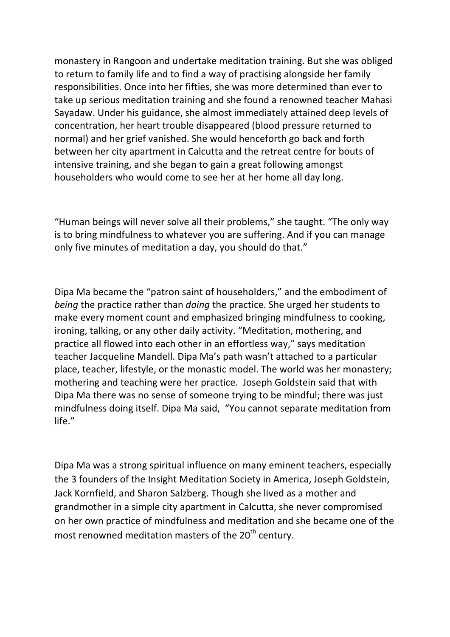monastery in Rangoon and undertake meditation training. But she was obliged to return to family life and to find a way of practising alongside her family responsibilities. Once into her fifties, she was more determined than ever to take up serious meditation training and she found a renowned teacher Mahasi Sayadaw. Under his guidance, she almost immediately attained deep levels of concentration, her heart trouble disappeared (blood pressure returned to normal) and her grief vanished. She would henceforth go back and forth between her city apartment in Calcutta and the retreat centre for bouts of intensive training, and she began to gain a great following amongst householders who would come to see her at her home all day long.

"Human beings will never solve all their problems," she taught. "The only way is to bring mindfulness to whatever you are suffering. And if you can manage only five minutes of meditation a day, you should do that."

Dipa Ma became the "patron saint of householders," and the embodiment of *being* the practice rather than *doing* the practice. She urged her students to make every moment count and emphasized bringing mindfulness to cooking, ironing, talking, or any other daily activity. "Meditation, mothering, and practice all flowed into each other in an effortless way," says meditation teacher Jacqueline Mandell. Dipa Ma's path wasn't attached to a particular place, teacher, lifestyle, or the monastic model. The world was her monastery; mothering and teaching were her practice. Joseph Goldstein said that with Dipa Ma there was no sense of someone trying to be mindful; there was just mindfulness doing itself. Dipa Ma said, "You cannot separate meditation from life."

Dipa Ma was a strong spiritual influence on many eminent teachers, especially the 3 founders of the Insight Meditation Society in America, Joseph Goldstein, Jack Kornfield, and Sharon Salzberg. Though she lived as a mother and grandmother in a simple city apartment in Calcutta, she never compromised on her own practice of mindfulness and meditation and she became one of the most renowned meditation masters of the  $20<sup>th</sup>$  century.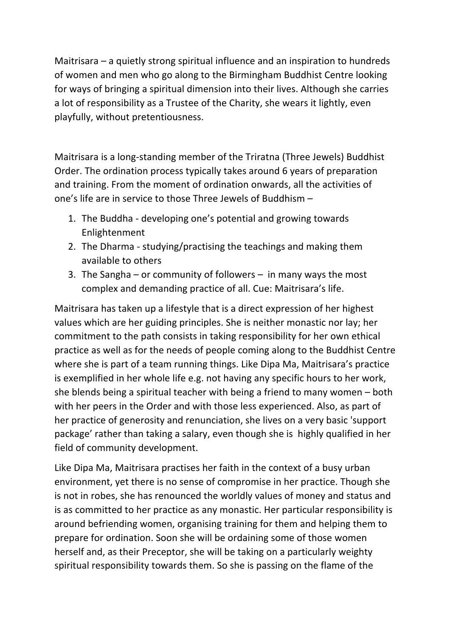Maitrisara  $-$  a quietly strong spiritual influence and an inspiration to hundreds of women and men who go along to the Birmingham Buddhist Centre looking for ways of bringing a spiritual dimension into their lives. Although she carries a lot of responsibility as a Trustee of the Charity, she wears it lightly, even playfully, without pretentiousness.

Maitrisara is a long-standing member of the Triratna (Three Jewels) Buddhist Order. The ordination process typically takes around 6 years of preparation and training. From the moment of ordination onwards, all the activities of one's life are in service to those Three Jewels of Buddhism  $-$ 

- 1. The Buddha developing one's potential and growing towards Enlightenment
- 2. The Dharma studying/practising the teachings and making them available to others
- 3. The Sangha or community of followers in many ways the most complex and demanding practice of all. Cue: Maitrisara's life.

Maitrisara has taken up a lifestyle that is a direct expression of her highest values which are her guiding principles. She is neither monastic nor lay; her commitment to the path consists in taking responsibility for her own ethical practice as well as for the needs of people coming along to the Buddhist Centre where she is part of a team running things. Like Dipa Ma, Maitrisara's practice is exemplified in her whole life e.g. not having any specific hours to her work, she blends being a spiritual teacher with being a friend to many women  $-$  both with her peers in the Order and with those less experienced. Also, as part of her practice of generosity and renunciation, she lives on a very basic 'support package' rather than taking a salary, even though she is highly qualified in her field of community development.

Like Dipa Ma, Maitrisara practises her faith in the context of a busy urban environment, yet there is no sense of compromise in her practice. Though she is not in robes, she has renounced the worldly values of money and status and is as committed to her practice as any monastic. Her particular responsibility is around befriending women, organising training for them and helping them to prepare for ordination. Soon she will be ordaining some of those women herself and, as their Preceptor, she will be taking on a particularly weighty spiritual responsibility towards them. So she is passing on the flame of the